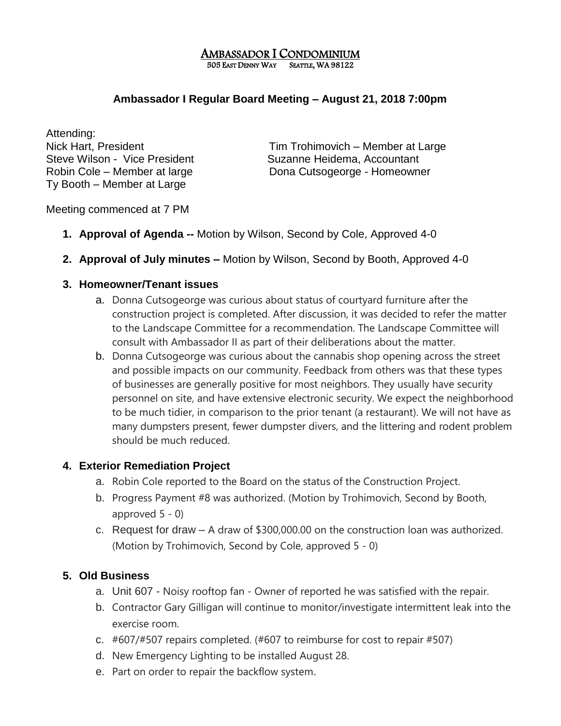#### AMBASSADOR I CONDOMINIUM 505 EAST DENNY WAY SEATTLE, WA 98122

## **Ambassador I Regular Board Meeting – August 21, 2018 7:00pm**

Attending: Ty Booth – Member at Large

Nick Hart, President Tim Trohimovich – Member at Large Steve Wilson - Vice President Suzanne Heidema, Accountant Robin Cole – Member at large Dona Cutsogeorge - Homeowner

Meeting commenced at 7 PM

- **1. Approval of Agenda --** Motion by Wilson, Second by Cole, Approved 4-0
- **2. Approval of July minutes –** Motion by Wilson, Second by Booth, Approved 4-0

#### **3. Homeowner/Tenant issues**

- a. Donna Cutsogeorge was curious about status of courtyard furniture after the construction project is completed. After discussion, it was decided to refer the matter to the Landscape Committee for a recommendation. The Landscape Committee will consult with Ambassador II as part of their deliberations about the matter.
- b. Donna Cutsogeorge was curious about the cannabis shop opening across the street and possible impacts on our community. Feedback from others was that these types of businesses are generally positive for most neighbors. They usually have security personnel on site, and have extensive electronic security. We expect the neighborhood to be much tidier, in comparison to the prior tenant (a restaurant). We will not have as many dumpsters present, fewer dumpster divers, and the littering and rodent problem should be much reduced.

## **4. Exterior Remediation Project**

- a. Robin Cole reported to the Board on the status of the Construction Project.
- b. Progress Payment #8 was authorized. (Motion by Trohimovich, Second by Booth, approved 5 - 0)
- c. Request for draw A draw of \$300,000.00 on the construction loan was authorized. (Motion by Trohimovich, Second by Cole, approved 5 - 0)

## **5. Old Business**

- a. Unit 607 Noisy rooftop fan Owner of reported he was satisfied with the repair.
- b. Contractor Gary Gilligan will continue to monitor/investigate intermittent leak into the exercise room.
- c. #607/#507 repairs completed. (#607 to reimburse for cost to repair #507)
- d. New Emergency Lighting to be installed August 28.
- e. Part on order to repair the backflow system.